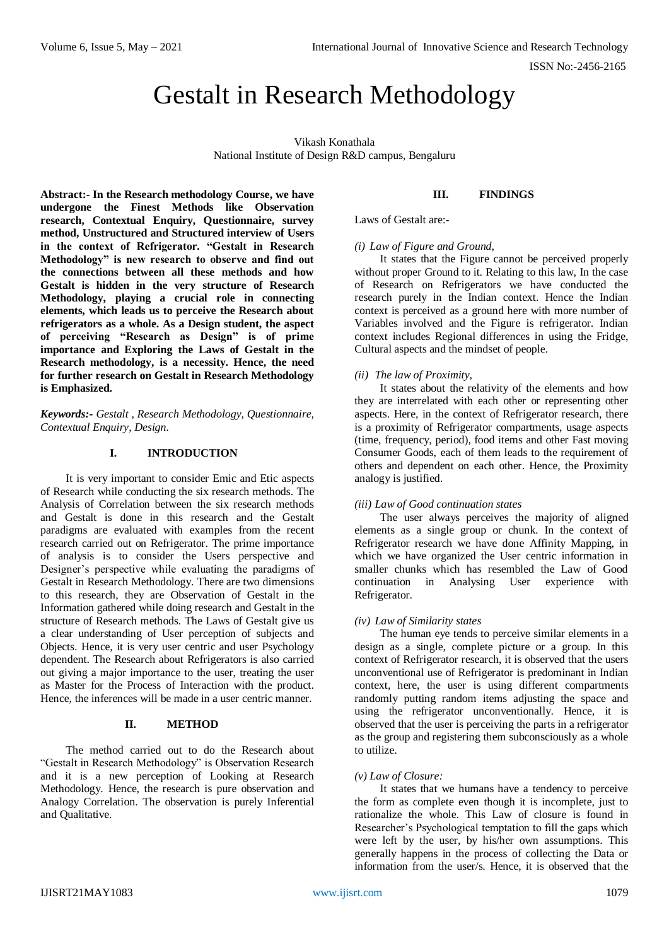ISSN No:-2456-2165

# Gestalt in Research Methodology

Vikash Konathala National Institute of Design R&D campus, Bengaluru

**Abstract:- In the Research methodology Course, we have undergone the Finest Methods like Observation research, Contextual Enquiry, Questionnaire, survey method, Unstructured and Structured interview of Users in the context of Refrigerator. "Gestalt in Research Methodology" is new research to observe and find out the connections between all these methods and how Gestalt is hidden in the very structure of Research Methodology, playing a crucial role in connecting elements, which leads us to perceive the Research about refrigerators as a whole. As a Design student, the aspect of perceiving "Research as Design" is of prime importance and Exploring the Laws of Gestalt in the Research methodology, is a necessity. Hence, the need for further research on Gestalt in Research Methodology is Emphasized.**

*Keywords:- Gestalt , Research Methodology, Questionnaire, Contextual Enquiry, Design.*

# **I. INTRODUCTION**

It is very important to consider Emic and Etic aspects of Research while conducting the six research methods. The Analysis of Correlation between the six research methods and Gestalt is done in this research and the Gestalt paradigms are evaluated with examples from the recent research carried out on Refrigerator. The prime importance of analysis is to consider the Users perspective and Designer's perspective while evaluating the paradigms of Gestalt in Research Methodology. There are two dimensions to this research, they are Observation of Gestalt in the Information gathered while doing research and Gestalt in the structure of Research methods. The Laws of Gestalt give us a clear understanding of User perception of subjects and Objects. Hence, it is very user centric and user Psychology dependent. The Research about Refrigerators is also carried out giving a major importance to the user, treating the user as Master for the Process of Interaction with the product. Hence, the inferences will be made in a user centric manner.

### **II. METHOD**

The method carried out to do the Research about "Gestalt in Research Methodology" is Observation Research and it is a new perception of Looking at Research Methodology. Hence, the research is pure observation and Analogy Correlation. The observation is purely Inferential and Qualitative.

**III. FINDINGS**

Laws of Gestalt are:-

## *(i) Law of Figure and Ground,*

It states that the Figure cannot be perceived properly without proper Ground to it. Relating to this law, In the case of Research on Refrigerators we have conducted the research purely in the Indian context. Hence the Indian context is perceived as a ground here with more number of Variables involved and the Figure is refrigerator. Indian context includes Regional differences in using the Fridge, Cultural aspects and the mindset of people.

## *(ii) The law of Proximity,*

It states about the relativity of the elements and how they are interrelated with each other or representing other aspects. Here, in the context of Refrigerator research, there is a proximity of Refrigerator compartments, usage aspects (time, frequency, period), food items and other Fast moving Consumer Goods, each of them leads to the requirement of others and dependent on each other. Hence, the Proximity analogy is justified.

#### *(iii) Law of Good continuation states*

The user always perceives the majority of aligned elements as a single group or chunk. In the context of Refrigerator research we have done Affinity Mapping, in which we have organized the User centric information in smaller chunks which has resembled the Law of Good continuation in Analysing User experience with Refrigerator.

#### *(iv) Law of Similarity states*

The human eye tends to perceive similar elements in a design as a single, complete picture or a group. In this context of Refrigerator research, it is observed that the users unconventional use of Refrigerator is predominant in Indian context, here, the user is using different compartments randomly putting random items adjusting the space and using the refrigerator unconventionally. Hence, it is observed that the user is perceiving the parts in a refrigerator as the group and registering them subconsciously as a whole to utilize.

#### *(v) Law of Closure:*

It states that we humans have a tendency to perceive the form as complete even though it is incomplete, just to rationalize the whole. This Law of closure is found in Researcher's Psychological temptation to fill the gaps which were left by the user, by his/her own assumptions. This generally happens in the process of collecting the Data or information from the user/s. Hence, it is observed that the